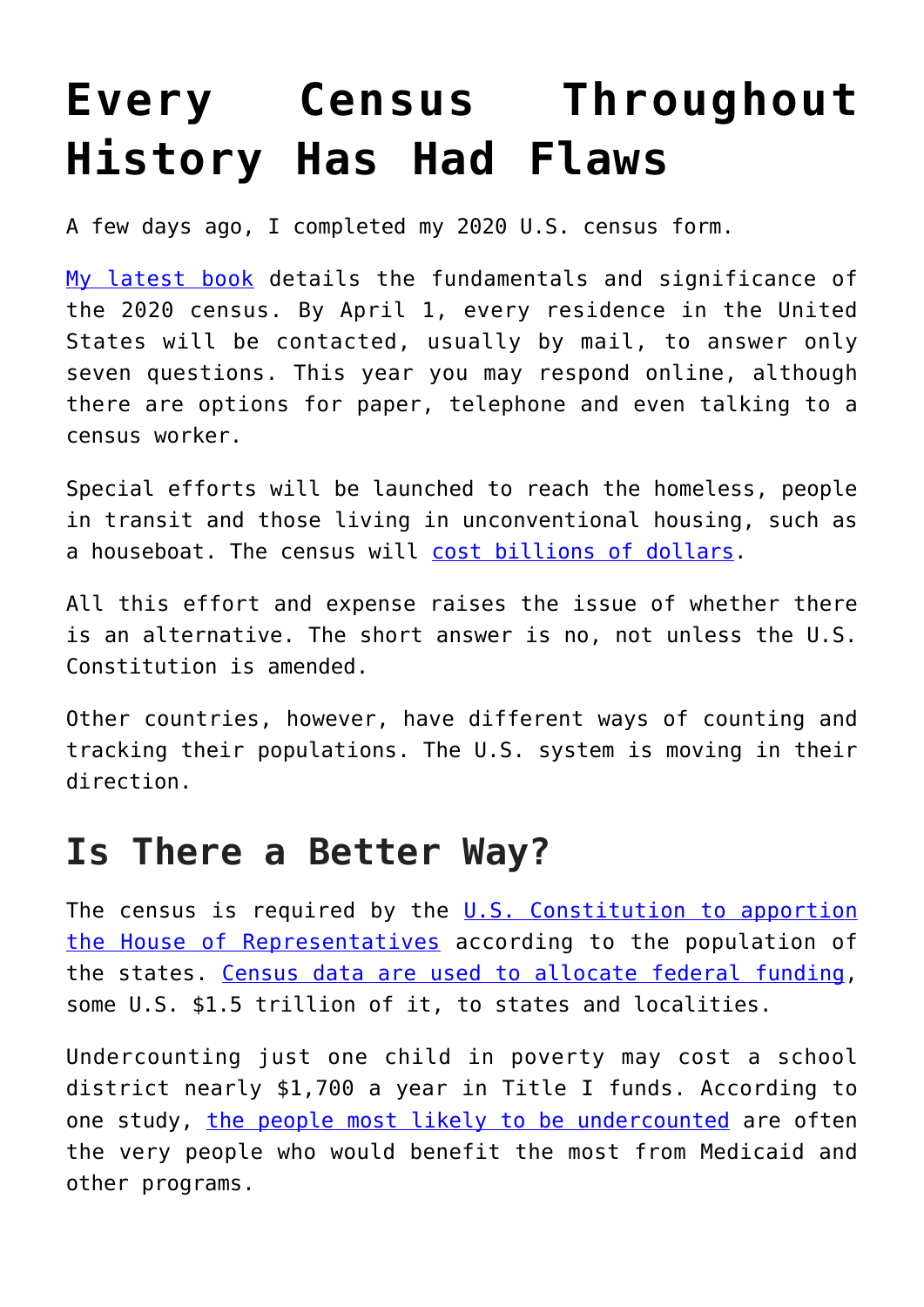## **[Every Census Throughout](https://intellectualtakeout.org/2020/04/every-census-throughout-history-has-had-flaws/) [History Has Had Flaws](https://intellectualtakeout.org/2020/04/every-census-throughout-history-has-had-flaws/)**

A few days ago, I completed my 2020 U.S. census form.

[My latest book](https://www.springer.com/gp/book/9783030405779) details the fundamentals and significance of the 2020 census. By April 1, every residence in the United States will be contacted, usually by mail, to answer only seven questions. This year you may respond online, although there are options for paper, telephone and even talking to a census worker.

Special efforts will be launched to reach the homeless, people in transit and those living in unconventional housing, such as a houseboat. The census will [cost billions of dollars](https://www.gao.gov/highrisk/2020_decennial_census/why_did_study).

All this effort and expense raises the issue of whether there is an alternative. The short answer is no, not unless the U.S. Constitution is amended.

Other countries, however, have different ways of counting and tracking their populations. The U.S. system is moving in their direction.

## **Is There a Better Way?**

The census is required by the  $U.S.$  Constitution to apportion [the House of Representatives](https://history.house.gov/Institution/Origins-Development/Proportional-Representation/) according to the population of the states. [Census data are used to allocate federal funding,](https://www.pogo.org/census-project/) some U.S. \$1.5 trillion of it, to states and localities.

Undercounting just one child in poverty may cost a school district nearly \$1,700 a year in Title I funds. According to one study, [the people most likely to be undercounted](https://doi.org/10.2105/AJPH.2018.304569) are often the very people who would benefit the most from Medicaid and other programs.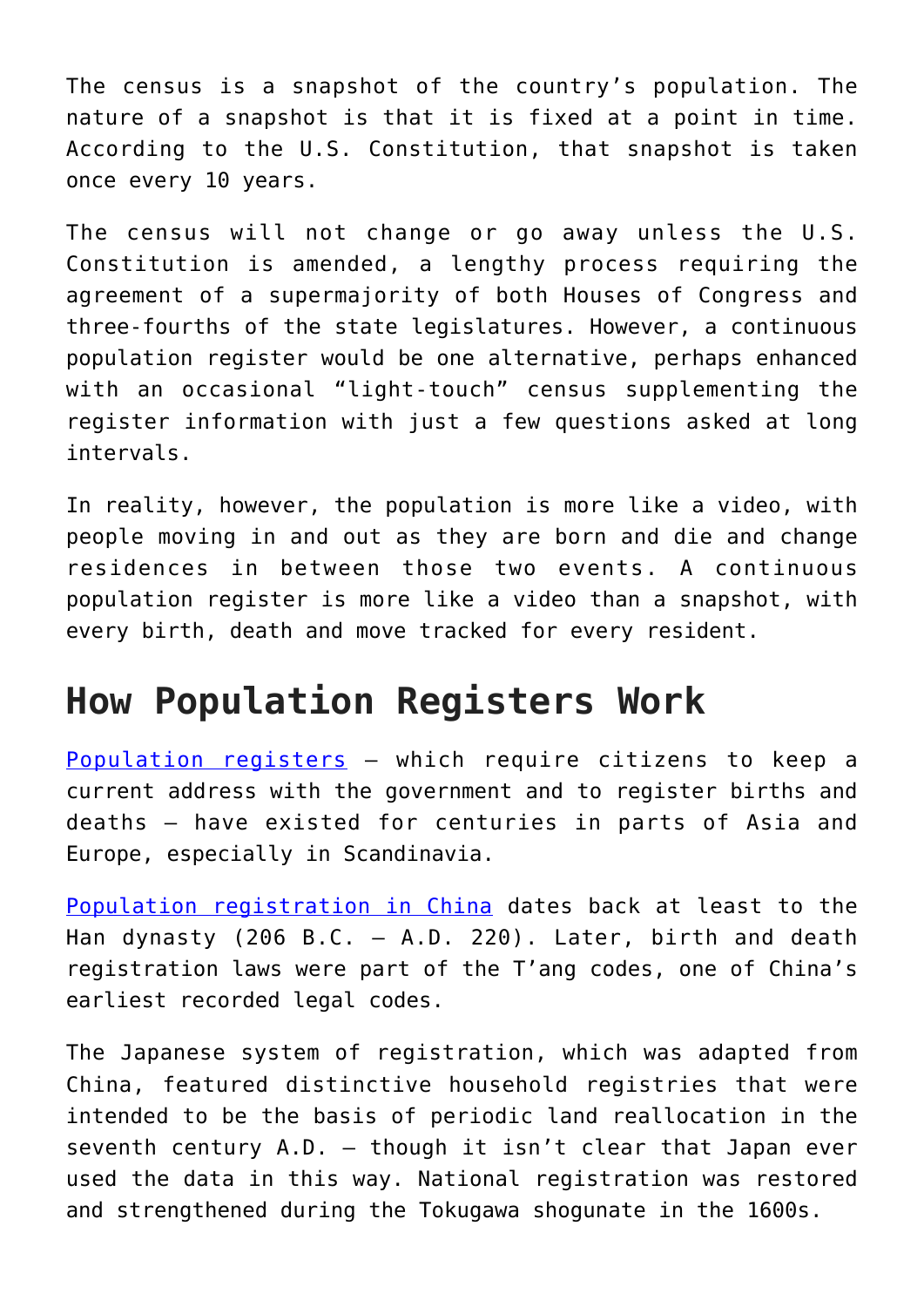The census is a snapshot of the country's population. The nature of a snapshot is that it is fixed at a point in time. According to the U.S. Constitution, that snapshot is taken once every 10 years.

The census will not change or go away unless the U.S. Constitution is amended, a lengthy process requiring the agreement of a supermajority of both Houses of Congress and three-fourths of the state legislatures. However, a continuous population register would be one alternative, perhaps enhanced with an occasional "light-touch" census supplementing the register information with just a few questions asked at long intervals.

In reality, however, the population is more like a video, with people moving in and out as they are born and die and change residences in between those two events. A continuous population register is more like a video than a snapshot, with every birth, death and move tracked for every resident.

## **How Population Registers Work**

[Population registers](https://www.cambridge.org/vi/academic/subjects/sociology/demography-social-statistics/population-and-society-introduction-demography-2nd-edition?format=HB) – which require citizens to keep a current address with the government and to register births and deaths – have existed for centuries in parts of Asia and Europe, especially in Scandinavia.

[Population registration in China](https://books.google.com/books/about/The_Study_of_Population.html?id=Ug3hjgEACAAJ) dates back at least to the Han dynasty (206 B.C. – A.D. 220). Later, birth and death registration laws were part of the T'ang codes, one of China's earliest recorded legal codes.

The Japanese system of registration, which was adapted from China, featured distinctive household registries that were intended to be the basis of periodic land reallocation in the seventh century A.D. – though it isn't clear that Japan ever used the data in this way. National registration was restored and strengthened during the Tokugawa shogunate in the 1600s.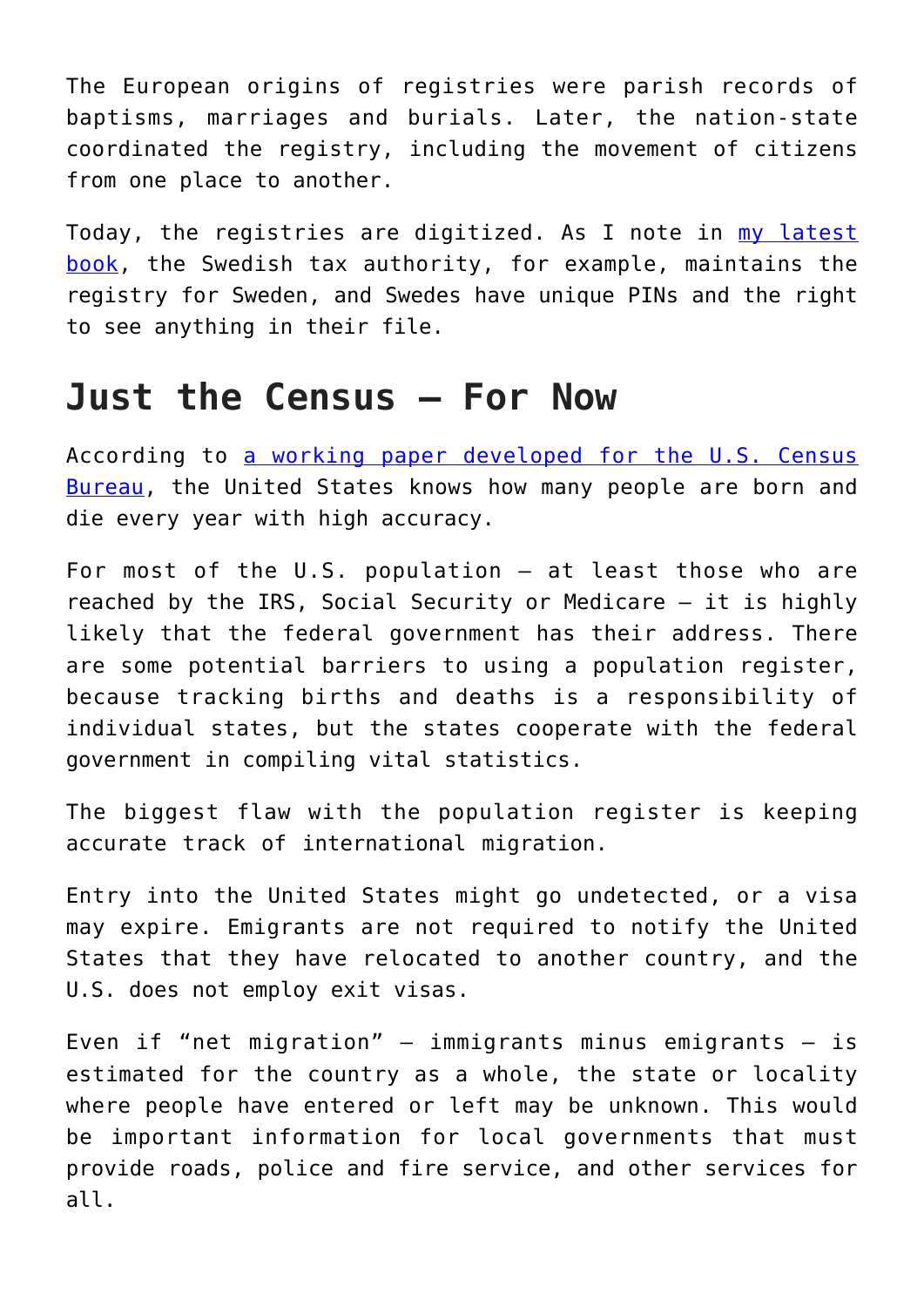The European origins of registries were parish records of baptisms, marriages and burials. Later, the nation-state coordinated the registry, including the movement of citizens from one place to another.

Today, the registries are digitized. As I note in [my latest](https://www.springer.com/gp/book/9783030405779) [book,](https://www.springer.com/gp/book/9783030405779) the Swedish tax authority, for example, maintains the registry for Sweden, and Swedes have unique PINs and the right to see anything in their file.

## **Just the Census – For Now**

According to [a working paper developed for the U.S. Census](https://census.gov/content/dam/Census/library/working-papers/2011/demo/POP-twps0088.pdf) [Bureau,](https://census.gov/content/dam/Census/library/working-papers/2011/demo/POP-twps0088.pdf) the United States knows how many people are born and die every year with high accuracy.

For most of the U.S. population – at least those who are reached by the IRS, Social Security or Medicare – it is highly likely that the federal government has their address. There are some potential barriers to using a population register, because tracking births and deaths is a responsibility of individual states, but the states cooperate with the federal government in compiling vital statistics.

The biggest flaw with the population register is keeping accurate track of international migration.

Entry into the United States might go undetected, or a visa may expire. Emigrants are not required to notify the United States that they have relocated to another country, and the U.S. does not employ exit visas.

Even if "net migration"  $-$  immigrants minus emigrants  $-$  is estimated for the country as a whole, the state or locality where people have entered or left may be unknown. This would be important information for local governments that must provide roads, police and fire service, and other services for all.